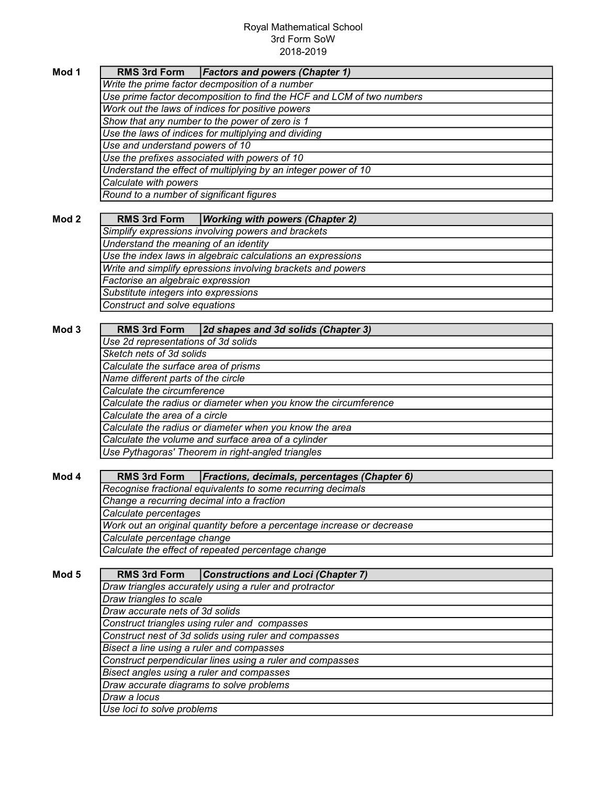## Royal Mathematical School 3rd Form SoW 2018-2019

| Mod 1                                    | <b>Factors and powers (Chapter 1)</b><br><b>RMS 3rd Form</b>               |  |  |  |
|------------------------------------------|----------------------------------------------------------------------------|--|--|--|
|                                          | Write the prime factor decmposition of a number                            |  |  |  |
|                                          | Use prime factor decomposition to find the HCF and LCM of two numbers      |  |  |  |
|                                          | Work out the laws of indices for positive powers                           |  |  |  |
|                                          | Show that any number to the power of zero is 1                             |  |  |  |
|                                          | Use the laws of indices for multiplying and dividing                       |  |  |  |
|                                          | Use and understand powers of 10                                            |  |  |  |
|                                          | Use the prefixes associated with powers of 10                              |  |  |  |
|                                          | Understand the effect of multiplying by an integer power of 10             |  |  |  |
|                                          | Calculate with powers                                                      |  |  |  |
| Round to a number of significant figures |                                                                            |  |  |  |
|                                          |                                                                            |  |  |  |
| Mod <sub>2</sub>                         | <b>Working with powers (Chapter 2)</b><br><b>RMS 3rd Form</b>              |  |  |  |
|                                          | Simplify expressions involving powers and brackets                         |  |  |  |
|                                          | Understand the meaning of an identity                                      |  |  |  |
|                                          | Use the index laws in algebraic calculations an expressions                |  |  |  |
|                                          | Write and simplify epressions involving brackets and powers                |  |  |  |
|                                          |                                                                            |  |  |  |
|                                          | Factorise an algebraic expression                                          |  |  |  |
|                                          | Substitute integers into expressions                                       |  |  |  |
|                                          | Construct and solve equations                                              |  |  |  |
|                                          |                                                                            |  |  |  |
| Mod 3                                    | 2d shapes and 3d solids (Chapter 3)<br><b>RMS 3rd Form</b>                 |  |  |  |
|                                          | Use 2d representations of 3d solids                                        |  |  |  |
|                                          | Sketch nets of 3d solids                                                   |  |  |  |
|                                          | Calculate the surface area of prisms                                       |  |  |  |
|                                          | Name different parts of the circle                                         |  |  |  |
|                                          | Calculate the circumference                                                |  |  |  |
|                                          | Calculate the radius or diameter when you know the circumference           |  |  |  |
|                                          | Calculate the area of a circle                                             |  |  |  |
|                                          | Calculate the radius or diameter when you know the area                    |  |  |  |
|                                          | Calculate the volume and surface area of a cylinder                        |  |  |  |
|                                          | Use Pythagoras' Theorem in right-angled triangles                          |  |  |  |
|                                          |                                                                            |  |  |  |
| Mod 4                                    | <b>RMS 3rd Form</b><br><b>Fractions, decimals, percentages (Chapter 6)</b> |  |  |  |
|                                          | Recognise fractional equivalents to some recurring decimals                |  |  |  |
|                                          | Change a recurring decimal into a fraction                                 |  |  |  |
|                                          | Calculate percentages                                                      |  |  |  |
|                                          | Work out an original quantity before a percentage increase or decrease     |  |  |  |
|                                          | Calculate percentage change                                                |  |  |  |
|                                          | Calculate the effect of repeated percentage change                         |  |  |  |
|                                          |                                                                            |  |  |  |
| Mod 5                                    | <b>RMS 3rd Form</b><br><b>Constructions and Loci (Chapter 7)</b>           |  |  |  |
|                                          |                                                                            |  |  |  |
|                                          | Draw triangles accurately using a ruler and protractor                     |  |  |  |
|                                          | Draw triangles to scale                                                    |  |  |  |
|                                          | Draw accurate nets of 3d solids                                            |  |  |  |
|                                          | Construct triangles using ruler and compasses                              |  |  |  |
|                                          | Construct nest of 3d solids using ruler and compasses                      |  |  |  |
|                                          | Bisect a line using a ruler and compasses                                  |  |  |  |
|                                          | Construct perpendicular lines using a ruler and compasses                  |  |  |  |
|                                          | Bisect angles using a ruler and compasses                                  |  |  |  |
|                                          | Draw accurate diagrams to solve problems                                   |  |  |  |
|                                          | Draw a locus                                                               |  |  |  |
|                                          | Use loci to solve problems                                                 |  |  |  |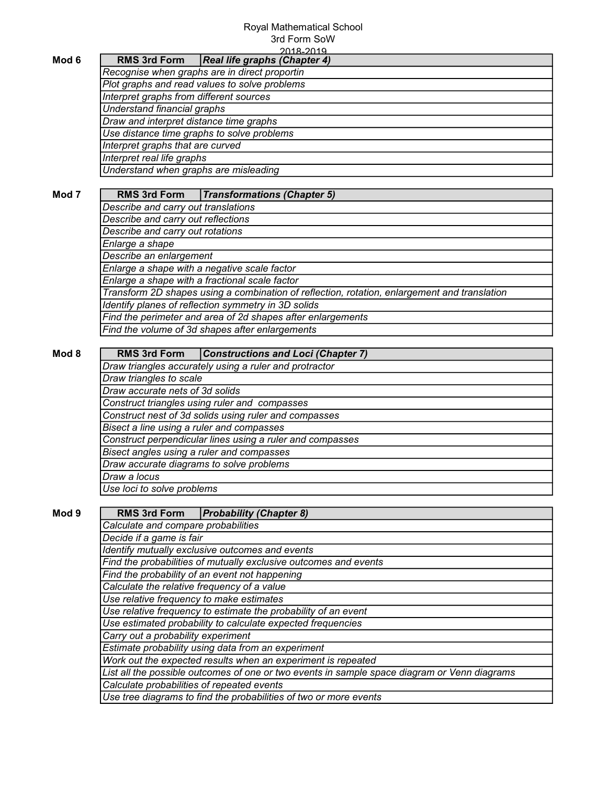## Royal Mathematical School 3rd Form SoW

|                                                                                                                    | 2018-2019                                                                                          |  |  |                                                                                              |
|--------------------------------------------------------------------------------------------------------------------|----------------------------------------------------------------------------------------------------|--|--|----------------------------------------------------------------------------------------------|
| Mod 6                                                                                                              | <b>RMS 3rd Form</b><br>Real life graphs (Chapter 4)                                                |  |  |                                                                                              |
|                                                                                                                    | Recognise when graphs are in direct proportin                                                      |  |  |                                                                                              |
|                                                                                                                    | Plot graphs and read values to solve problems                                                      |  |  |                                                                                              |
|                                                                                                                    | Interpret graphs from different sources                                                            |  |  |                                                                                              |
|                                                                                                                    | Understand financial graphs                                                                        |  |  |                                                                                              |
|                                                                                                                    | Draw and interpret distance time graphs                                                            |  |  |                                                                                              |
|                                                                                                                    | Use distance time graphs to solve problems                                                         |  |  |                                                                                              |
|                                                                                                                    | Interpret graphs that are curved                                                                   |  |  |                                                                                              |
|                                                                                                                    | Interpret real life graphs                                                                         |  |  |                                                                                              |
|                                                                                                                    | Understand when graphs are misleading                                                              |  |  |                                                                                              |
|                                                                                                                    |                                                                                                    |  |  |                                                                                              |
| Mod <sub>7</sub>                                                                                                   | <b>RMS 3rd Form</b><br><b>Transformations (Chapter 5)</b>                                          |  |  |                                                                                              |
|                                                                                                                    | Describe and carry out translations                                                                |  |  |                                                                                              |
|                                                                                                                    | Describe and carry out reflections                                                                 |  |  |                                                                                              |
|                                                                                                                    | Describe and carry out rotations                                                                   |  |  |                                                                                              |
|                                                                                                                    | Enlarge a shape                                                                                    |  |  |                                                                                              |
|                                                                                                                    | Describe an enlargement                                                                            |  |  |                                                                                              |
| Enlarge a shape with a negative scale factor<br>Enlarge a shape with a fractional scale factor                     |                                                                                                    |  |  |                                                                                              |
|                                                                                                                    |                                                                                                    |  |  | Transform 2D shapes using a combination of reflection, rotation, enlargement and translation |
|                                                                                                                    |                                                                                                    |  |  |                                                                                              |
| Identify planes of reflection symmetry in 3D solids<br>Find the perimeter and area of 2d shapes after enlargements |                                                                                                    |  |  |                                                                                              |
|                                                                                                                    | Find the volume of 3d shapes after enlargements                                                    |  |  |                                                                                              |
|                                                                                                                    |                                                                                                    |  |  |                                                                                              |
|                                                                                                                    | <b>RMS 3rd Form</b>                                                                                |  |  |                                                                                              |
| Mod 8                                                                                                              | Constructions and Loci (Chapter 7)                                                                 |  |  |                                                                                              |
|                                                                                                                    | Draw triangles accurately using a ruler and protractor                                             |  |  |                                                                                              |
|                                                                                                                    | Draw triangles to scale                                                                            |  |  |                                                                                              |
| Draw accurate nets of 3d solids                                                                                    |                                                                                                    |  |  |                                                                                              |
|                                                                                                                    | Construct triangles using ruler and compasses                                                      |  |  |                                                                                              |
|                                                                                                                    | Construct nest of 3d solids using ruler and compasses<br>Bisect a line using a ruler and compasses |  |  |                                                                                              |
|                                                                                                                    |                                                                                                    |  |  |                                                                                              |
|                                                                                                                    | Construct perpendicular lines using a ruler and compasses                                          |  |  |                                                                                              |
|                                                                                                                    | Bisect angles using a ruler and compasses                                                          |  |  |                                                                                              |
|                                                                                                                    | Draw accurate diagrams to solve problems<br>Draw a locus                                           |  |  |                                                                                              |
|                                                                                                                    |                                                                                                    |  |  |                                                                                              |
|                                                                                                                    | Use loci to solve problems                                                                         |  |  |                                                                                              |
|                                                                                                                    |                                                                                                    |  |  |                                                                                              |
| Mod 9                                                                                                              | <b>Probability (Chapter 8)</b><br><b>RMS 3rd Form</b>                                              |  |  |                                                                                              |
|                                                                                                                    | Calculate and compare probabilities                                                                |  |  |                                                                                              |
|                                                                                                                    | Decide if a game is fair                                                                           |  |  |                                                                                              |
|                                                                                                                    | Identify mutually exclusive outcomes and events                                                    |  |  |                                                                                              |
|                                                                                                                    | Find the probabilities of mutually exclusive outcomes and events                                   |  |  |                                                                                              |
|                                                                                                                    | Find the probability of an event not happening                                                     |  |  |                                                                                              |
|                                                                                                                    | Calculate the relative frequency of a value                                                        |  |  |                                                                                              |
|                                                                                                                    | Use relative frequency to make estimates                                                           |  |  |                                                                                              |
|                                                                                                                    | Use relative frequency to estimate the probability of an event                                     |  |  |                                                                                              |
|                                                                                                                    | Use estimated probability to calculate expected frequencies                                        |  |  |                                                                                              |
|                                                                                                                    | Carry out a probability experiment                                                                 |  |  |                                                                                              |
|                                                                                                                    | Estimate probability using data from an experiment                                                 |  |  |                                                                                              |
|                                                                                                                    |                                                                                                    |  |  |                                                                                              |
|                                                                                                                    | Work out the expected results when an experiment is repeated                                       |  |  |                                                                                              |
|                                                                                                                    | List all the possible outcomes of one or two events in sample space diagram or Venn diagrams       |  |  |                                                                                              |
|                                                                                                                    | Calculate probabilities of repeated events                                                         |  |  |                                                                                              |
|                                                                                                                    | Use tree diagrams to find the probabilities of two or more events                                  |  |  |                                                                                              |